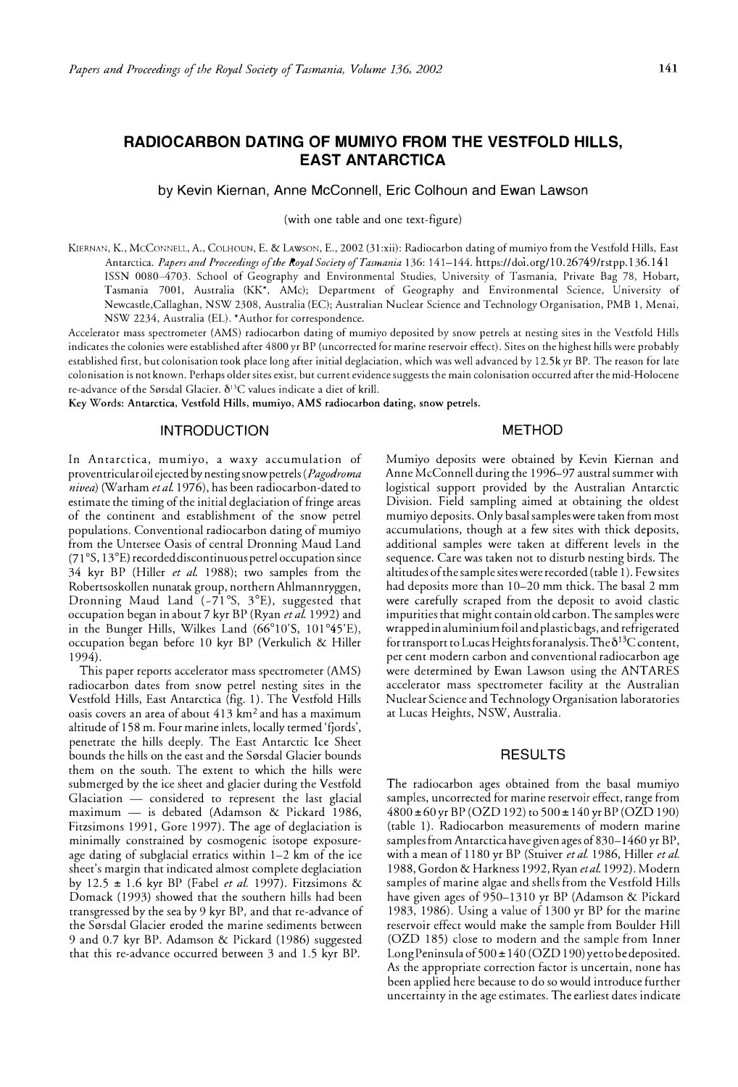# **RADIOCARBON DATING OF MUMIYO FROM THE VESTFOLD HILLS, EAST ANTARCTICA**

by Kevin Kiernan, Anne McConnell, Eric Colhoun and Ewan Lawson

(with one table and one text-figure)

KIERNAN, K., McCONNELL, A., COLHOUN, E. & LAWSON, E., 2002 (31:xii): Radiocarbon dating of mumiyo from the Vestfold Hills, East Antarctica. *Papers and Proceedings ofthe Royal Society ofTasmania* 136: 141-144. https://doi.org/10.26749/rstpp.136.141 ISSN 0080-4703. School of Geography and Environmental Studies, University of Tasmania, Private Bag 78, Hobart, Tasmania 7001, Australia (KK\*, AMc); Department of Geography and Environmental Science, University of Newcastle,Callaghan, NSW 2308, Australia (EC); Australian Nuclear Science and Technology Organisation, PMB 1, Menai, NSW 2234, Australia (EL). \*Author for correspondence.

Accelerator mass spectrometer (AMS) radiocarbon dating of mumiyo deposited by snow petrels at nesting sites in the Vestfold Hills indicates the colonies were established after 4800 yr BP (uncorrected for marine reservoir effect). Sites on the highest hills were probably established first, but colonisation took place long after initial deglaciation, which was well advanced by 12.5k yr BP. The reason for late colonisation is not known. Perhaps older sites exist, but current evidence suggests the main colonisation occurred after the mid-Holocene re-advance of the Sørsdal Glacier.  $\delta^{13}C$  values indicate a diet of krill.

**Key Words: Antarctica, Vestfold Hills, mumiyo, AMS radiocarbon dating, snow petrels.** 

## **INTRODUCTION**

# **METHOD**

In Antarctica, mumiyo, a waxy accumulation of proventricular oil ejected by nesting snow petrels *(Pagodroma nivea)* (Warham *et al.* 1976), has been radiocarbon-dated to estimate the timing of the initial deglaciation of fringe areas of the continent and establishment of the snow petrel populations. Conventional radiocarbon dating of mumiyo from the Untersee Oasis of central Dronning Maud Land (71 ° S, 13 °E) recorded discontinuous petrel occupation since 34 kyr BP (Hiller *et al.* 1988); two samples from the Robertsoskollen nunatak group, northern Ahlmannryggen, Dronning Maud Land (-71°S, 3°E), suggested that occupation began in about 7 kyr BP (Ryan *et al.* 1992) and in the Bunger Hills, Wilkes Land (66° 10'5, 101 ° 45'E), occupation began before 10 kyr BP (Verkulich & Hiller 1994).

This paper reports accelerator mass spectrometer (AMS) radiocarbon dates from snow petrel nesting sites in the Vestfold Hills, East Antarctica (fig. 1). The Vestfold Hills oasis covers an area of about 413 km<sup>2</sup>and has a maximum altitude of 158 m. Four marine inlets, locally termed 'fjords', penetrate the hills deeply. The East Antarctic Ice Sheet bounds the hills on the east and the Sørsdal Glacier bounds chem on the south. The extent to which the hills were submerged by the ice sheet and glacier during the Vestfold Glaciation  $-$  considered to represent the last glacial maximum  $-$  is debated (Adamson & Pickard 1986, Fitzsimons 1991, Gore 1997). The age of deglaciation is minimally constrained by cosmogenic isotope exposureage dating of subglacial erratics within  $1-2$  km of the ice sheet's margin that indicated almost complete deglaciation by 12.5 ± 1.6 kyr BP (Fabel *et al.* 1997). Fitzsimons & Domack (1993) showed that the southern hills had been transgressed by the sea by 9 kyr BP, and that re-advance of the Sørsdal Glacier eroded the marine sediments between 9 and 0.7 kyr BP. Adamson & Pickard (1986) suggested that this re-advance occurred between 3 and 1.5 kyr BP.

Mumiyo deposits were obtained by Kevin Kiernan and Anne McConnell during the 1996-97 austral summer with logistical support provided by the Australian Antarctic Division. Field sampling aimed at obtaining the oldest mumiyo deposits. Only basal samples were taken from most accumulations, though at a few sites with thick deposits, additional samples were taken at different levels in the sequence. Care was taken not to disturb nesting birds. The altitudes of the sample sites were recorded ( table 1). Few sites had deposits more than 10-20 mm thick. The basal 2 mm were carefully scraped from the deposit to avoid elastic impurities that might contain old carbon. The samples were wrapped in aluminium foil and plastic bags, and refrigerated for transport to Lucas Heights for analysis. The  $\delta^{13}C$  content, per cent modern carbon and conventional radiocarbon age were determined by Ewan Lawson using the ANTARES accelerator mass spectrometer facility at the Australian Nuclear Science and Technology Organisation laboratories at Lucas Heights, NSW, Australia.

### RESULTS

The radiocarbon ages obtained from the basal mumiyo samples, uncorrected for marine reservoir effect, range from 4800 ±60 yr BP (OZD 192) to 500 ± 140 yr BP (OZD 190) (table 1). Radiocarbon measurements of modern marine samples from Antarctica have given ages of 830–1460 yr BP, with a mean of 1180 yr BP (Stuiver *et al.* 1986, Hiller *et al.*  1988, Gordon & Harkness 1992, Ryan *etal.* 1992). Modern samples of marine algae and shells from the Vestfold Hills have given ages of 950-1310 yr BP (Adamson & Pickard 1983, 1986). Using a value of 1300 yr BP for the marine reservoir effect would make the sample from Boulder Hill (OZD 185) close to modern and the sample from Inner Long Peninsula of  $500 \pm 140$  (OZD 190) yetto be deposited. As the appropriate correction factor is uncertain, none has been applied here because to do so would introduce further uncertainty in the age estimates. The earliest dates indicate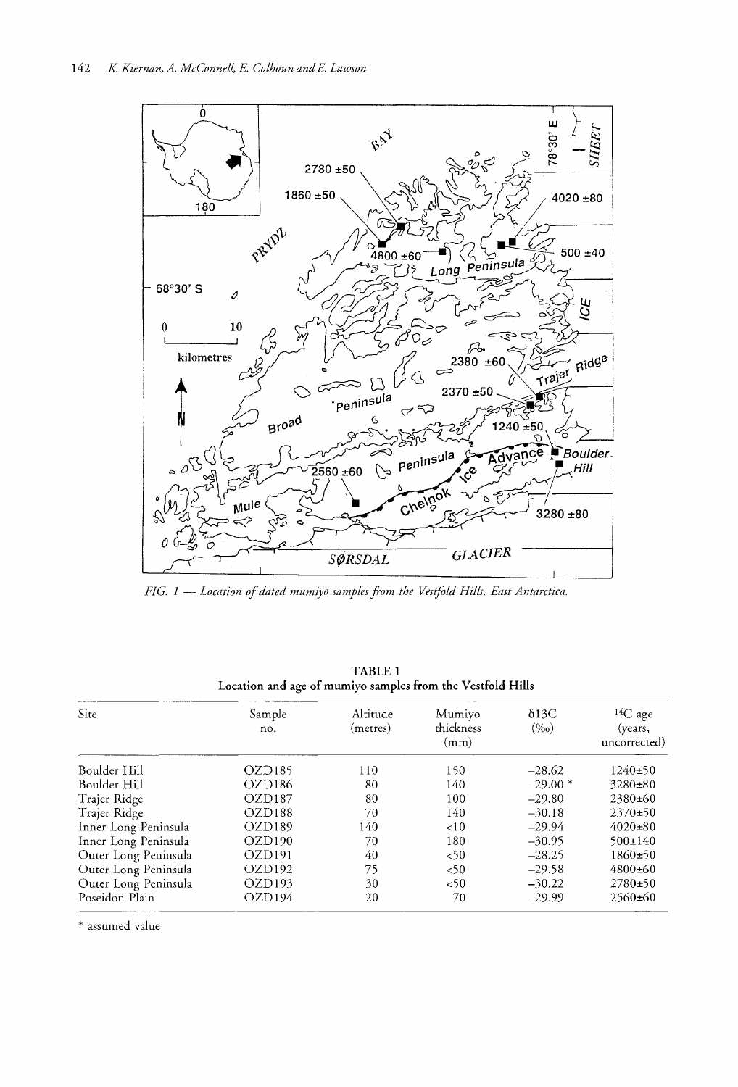

*FIG.* 1 *Location ofdated mumiyo samples from the Vestfold Hills, East Antarctica.*

| Site                 | Sample<br>no.      | Altitude<br>(metres) | Mumiyo<br>thickness<br>(mm) | $\delta$ 13C<br>$(\%o)$ | ${}^{14}C$ age<br>(years,<br>uncorrected) |
|----------------------|--------------------|----------------------|-----------------------------|-------------------------|-------------------------------------------|
| Boulder Hill         | OZD <sub>185</sub> | 110                  | 150                         | $-28.62$                | $1240+50$                                 |
| Boulder Hill         | OZD186             | 80                   | 140                         | $-29.00*$               | $3280 \pm 80$                             |
| Trajer Ridge         | OZD187             | 80                   | 100                         | $-29.80$                | $2380\pm 60$                              |
| Trajer Ridge         | OZD <sub>188</sub> | 70                   | 140                         | $-30.18$                | $2370+50$                                 |
| Inner Long Peninsula | OZD <sub>189</sub> | 140                  | ~10                         | $-29.94$                | $4020 \pm 80$                             |
| Inner Long Peninsula | OZD190             | 70                   | 180                         | $-30.95$                | $500 \pm 140$                             |
| Outer Long Peninsula | OZD191             | 40                   | < 50                        | $-28.25$                | $1860+50$                                 |
| Outer Long Peninsula | OZD <sub>192</sub> | 75                   | < 50                        | $-29.58$                | $4800\pm 60$                              |
| Outer Long Peninsula | OZD <sub>193</sub> | 30                   | 50<                         | $-30.22$                | $2780+50$                                 |
| Poseidon Plain       | OZD <sub>194</sub> | 20                   | 70                          | $-29.99$                | $2560\pm 60$                              |

TABLE 1 from the Vestfold Hills

\* assumed value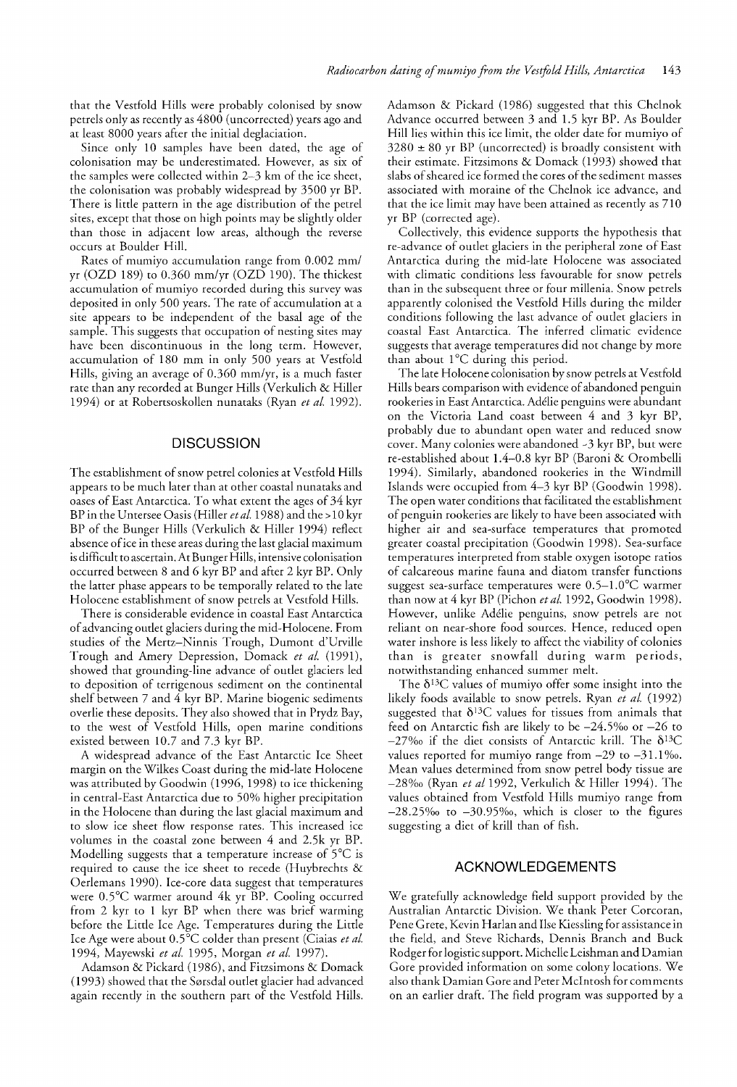that the Vestfold Hills were probably colonised by snow petrels only as recently as 4800 (uncorrected) years ago and at least 8000 years after the initial deglaciation.

Since only 10 samples have been dated, the age of colonisation may be underestimated. However, as six of the samples were collected within 2-3 km of the ice sheet, the colonisation was probably widespread by 3500 yr BP. There is little pattern in the age distribution of the petrel sites, except that those on high points may be slightly older than those in adjacent low areas, although the reverse occurs at Boulder Hill.

Rates of mumiyo accumulation range from 0.002 mm/ yr (OZD 189) to 0.360 mm/yr (OZD 190). The thickest accumulation of mumiyo recorded during this survey was deposited in only 500 years. The rate of accumulation at a site appears to be independent of the basal age of the sample. This suggests that occupation of nesting sites may have been discontinuous in the long term. However, accumulation of 180 mm in only 500 years at Vestfold Hills, giving an average of 0.360 mm/yr, is a much faster rate than any recorded at Bunger Hills (Verkulich & Hiller 1994) or at Robertsoskollen nunataks (Ryan *et al. 1992).*

#### **DISCUSSION**

The establishment of snow petrel colonies at Vestfold Hills appears to be much later than at other coastal nunataks and oases of East Antarctica. To what extent the ages of 34 kyr BP in the Untersee Oasis (Hiller *etal.* 1988) and the >10 kyr BP of the Bunger Hills (Verkulich & Hiller 1994) reflect absence ofice in these areas during the last glacial maximum is difficult to ascertain. At Bunger Hills, intensive colonisation occurred between 8 and 6 kyr BP and after 2 kyr BP. Only the latter phase appears to be temporally related to the late Holocene establishment of snow petrels at Vestfold Hills.

There is considerable evidence in coastal East Antarctica ofadvancing outlet glaciers during the mid-Holocene. From studies of the Mertz-Ninnis Trough, Dumont d'Urville Trough and Amery Depression, Domack *et al. (1991),* showed that grounding-line advance of outlet glaciers led to deposition of terrigenous sediment on the continental shelf between 7 and 4 kyr BP. Marine biogenic sediments overlie these deposits. They also showed that in Prydz Bay, to the west of Vestfold Hills, open marine conditions existed between 10.7 and 7.3 kyr BP.

A widespread advance of the East Antarctic Ice Sheet margin on the Wilkes Coast during the mid-late Holocene was attributed by Goodwin (1996, 1998) to ice thickening in central-East Antarctica due to 50% higher precipitation in the Holocene than during the last glacial maximum and to slow ice sheet flow response rates. This increased ice volumes in the coastal zone between 4 and 2.5k yr BP. Modelling suggests that a temperature increase of 5°C is required to cause the ice sheet to recede (Huybrechts & Oerlemans 1990). Ice-core data suggest that temperatures were 0.5°C warmer around 4k yr BP. Cooling occurred from 2 kyr to 1 kyr BP when there was brief warming before the Little Ice Age. Temperatures during the Little Ice Age were about 0.5°C colder than present (Ciaias *et al.* 1994, Mayewski *et al.* 1995, Morgan *et al. 1997).*

Adamson & Pickard (1986), and Fitzsimons & Domack (1993) showed that the Sørsdal outlet glacier had advanced again recently in the southern part of the Vestfold Hills.

Adamson & Pickard (1986) suggested that this Chelnok Advance occurred between 3 and 1.5 kyr BP. As Boulder Hill lies within this ice limit, the older date for mumiyo of  $3280 \pm 80$  yr BP (uncorrected) is broadly consistent with their estimate. Fitzsimons & Domack (1993) showed that slabs of sheared ice formed the cores of the sediment masses associated with moraine of the Chelnok ice advance, and that the ice limit may have been attained as recently as 710 yr BP (corrected age).

Collectively, this evidence supports the hypothesis that re-advance of outlet glaciers in the peripheral zone of East Antarctica during the mid-late Holocene was associated with climatic conditions less favourable for snow petrels than in the subsequent three or four millenia. Snow petrels apparently colonised the Vestfold Hills during the milder conditions following the last advance of outlet glaciers in coastal East Antarctica. The inferred climatic evidence suggests that average temperatures did not change by more than about 1°C during this period.

The late Holocene colonisation by snow petrels at Vestfold Hills bears comparison with evidence of abandoned penguin rookeries in East Antarctica. Adelie penguins were abundant on the Victoria Land coast between 4 and 3 kyr BP, probably due to abundant open water and reduced snow cover. Many colonies were abandoned  $-3$  kyr BP, but were re-established about 1.4-0.8 kyr BP (Baroni & Orombelli 1994). Similarly, abandoned rookeries in the Windmill Islands were occupied from 4-3 kyr BP (Goodwin 1998). The open water conditions that facilitated the establishment of penguin rookeries are likely to have been associated with higher air and sea-surface temperatures that promoted greater coastal precipitation (Goodwin 1998). Sea-surface temperatures interpreted from stable oxygen isotope ratios of calcareous marine fauna and diatom transfer functions suggest sea-surface temperatures were 0.S-I.0°C warmer than now at 4 kyr BP (Pichon *et al.* 1992, Goodwin 1998). However, unlike Adelie penguins, snow petrels are not reliant on near-shore food sources. Hence, reduced open water inshore is less likely to affect the viability of colonies than is greater snowfall during warm periods, notwithstanding enhanced summer melt.

The *b*13*C* values of mumiyo offer some insight into the likely foods available to snow petrels. Ryan *et al. (1992)* suggested that *b*13*C* values for tissues from animals that feed on Antarctic fish are likely to be  $-24.5\%$  or  $-26$  to -270/00 if the diet consists of Antarctic krill. The *b*13*C* values reported for mumiyo range from  $-29$  to  $-31.1\%$ . Mean values determined from snow petrel body tissue are -280/00 (Ryan *et a/1992,* Verkulich & Hiller 1994). The values obtained from Vestfold Hills mumiyo range from  $-28.25\%$  to  $-30.95\%$ , which is closer to the figures suggesting a diet of krill than of fish.

#### ACKNOWLEDGEMENTS

We gratefully acknowledge field support provided by the Australian Antarctic Division. We thank Peter Corcoran, Pene Grete, Kevin Harlan and Ilse Kiessling for assistance in the field, and Steve Richards, Dennis Branch and Buck Rodger for logistic support. Michelle Leishman and Damian Gore provided information on some colony locations. We also thank Damian Gore and Peter McIntosh for comments on an earlier draft. The field program was supported by a